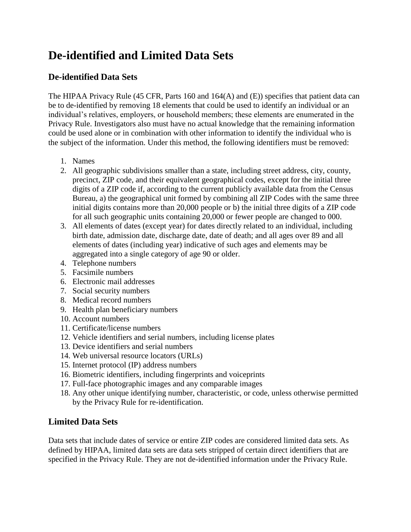## **De-identified and Limited Data Sets**

## **De-identified Data Sets**

The HIPAA Privacy Rule (45 CFR, Parts 160 and 164(A) and (E)) specifies that patient data can be to de-identified by removing 18 elements that could be used to identify an individual or an individual's relatives, employers, or household members; these elements are enumerated in the Privacy Rule. Investigators also must have no actual knowledge that the remaining information could be used alone or in combination with other information to identify the individual who is the subject of the information. Under this method, the following identifiers must be removed:

- 1. Names
- 2. All geographic subdivisions smaller than a state, including street address, city, county, precinct, ZIP code, and their equivalent geographical codes, except for the initial three digits of a ZIP code if, according to the current publicly available data from the Census Bureau, a) the geographical unit formed by combining all ZIP Codes with the same three initial digits contains more than 20,000 people or b) the initial three digits of a ZIP code for all such geographic units containing 20,000 or fewer people are changed to 000.
- 3. All elements of dates (except year) for dates directly related to an individual, including birth date, admission date, discharge date, date of death; and all ages over 89 and all elements of dates (including year) indicative of such ages and elements may be aggregated into a single category of age 90 or older.
- 4. Telephone numbers
- 5. Facsimile numbers
- 6. Electronic mail addresses
- 7. Social security numbers
- 8. Medical record numbers
- 9. Health plan beneficiary numbers
- 10. Account numbers
- 11. Certificate/license numbers
- 12. Vehicle identifiers and serial numbers, including license plates
- 13. Device identifiers and serial numbers
- 14. Web universal resource locators (URLs)
- 15. Internet protocol (IP) address numbers
- 16. Biometric identifiers, including fingerprints and voiceprints
- 17. Full-face photographic images and any comparable images
- 18. Any other unique identifying number, characteristic, or code, unless otherwise permitted by the Privacy Rule for re-identification.

## **Limited Data Sets**

Data sets that include dates of service or entire ZIP codes are considered limited data sets. As defined by HIPAA, limited data sets are data sets stripped of certain direct identifiers that are specified in the Privacy Rule. They are not de-identified information under the Privacy Rule.